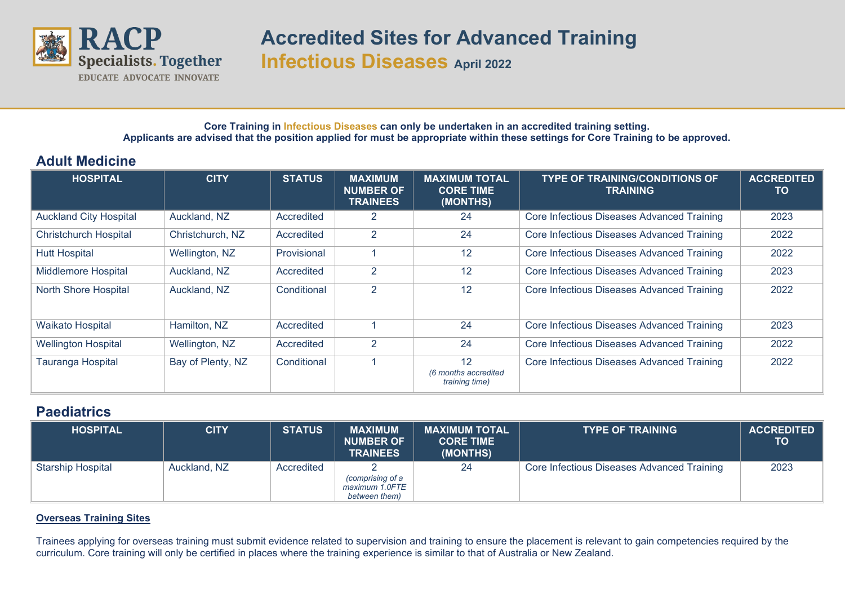

## **Core Training in Infectious Diseases can only be undertaken in an accredited training setting. Applicants are advised that the position applied for must be appropriate within these settings for Core Training to be approved.**

## **Adult Medicine**

| <b>HOSPITAL</b>               | <b>CITY</b>       | <b>STATUS</b> | <b>MAXIMUM</b><br><b>NUMBER OF</b><br><b>TRAINEES</b> | <b>MAXIMUM TOTAL</b><br><b>CORE TIME</b><br>(MONTHS) | <b>TYPE OF TRAINING/CONDITIONS OF</b><br><b>TRAINING</b> | <b>ACCREDITED</b><br>TO |
|-------------------------------|-------------------|---------------|-------------------------------------------------------|------------------------------------------------------|----------------------------------------------------------|-------------------------|
| <b>Auckland City Hospital</b> | Auckland, NZ      | Accredited    | 2                                                     | 24                                                   | Core Infectious Diseases Advanced Training               | 2023                    |
| <b>Christchurch Hospital</b>  | Christchurch, NZ  | Accredited    | 2                                                     | 24                                                   | Core Infectious Diseases Advanced Training               | 2022                    |
| <b>Hutt Hospital</b>          | Wellington, NZ    | Provisional   |                                                       | 12                                                   | Core Infectious Diseases Advanced Training               | 2022                    |
| <b>Middlemore Hospital</b>    | Auckland, NZ      | Accredited    | 2                                                     | 12                                                   | Core Infectious Diseases Advanced Training               | 2023                    |
| North Shore Hospital          | Auckland, NZ      | Conditional   | 2                                                     | 12                                                   | Core Infectious Diseases Advanced Training               | 2022                    |
| <b>Waikato Hospital</b>       | Hamilton, NZ      | Accredited    |                                                       | 24                                                   | Core Infectious Diseases Advanced Training               | 2023                    |
| <b>Wellington Hospital</b>    | Wellington, NZ    | Accredited    | 2                                                     | 24                                                   | Core Infectious Diseases Advanced Training               | 2022                    |
| Tauranga Hospital             | Bay of Plenty, NZ | Conditional   |                                                       | 12<br>(6 months accredited<br>training time)         | Core Infectious Diseases Advanced Training               | 2022                    |

## **Paediatrics**

| <b>HOSPITAL</b>          | <b>CITY</b>  | <b>STATUS</b> | <b>MAXIMUM</b><br><b>NUMBER OF</b><br><b>TRAINEES</b> | <b>MAXIMUM TOTAL</b><br><b>CORE TIME</b><br>(MONTHS) | <b>TYPE OF TRAINING</b>                    | <b>ACCREDITED</b><br><b>TO</b> |
|--------------------------|--------------|---------------|-------------------------------------------------------|------------------------------------------------------|--------------------------------------------|--------------------------------|
| <b>Starship Hospital</b> | Auckland, NZ | Accredited    | (comprising of a<br>maximum 1.0FTE<br>between them)   | 24                                                   | Core Infectious Diseases Advanced Training | 2023                           |

## **Overseas Training Sites**

Trainees applying for overseas training must submit evidence related to supervision and training to ensure the placement is relevant to gain competencies required by the curriculum. Core training will only be certified in places where the training experience is similar to that of Australia or New Zealand.